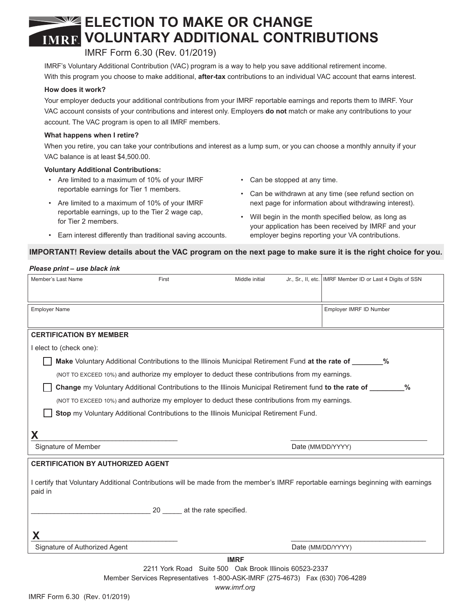# **ELECTION TO MAKE OR CHANGE VOLUNTARY ADDITIONAL CONTRIBUTIONS**

## IMRF Form 6.30 (Rev. 01/2019)

IMRF's Voluntary Additional Contribution (VAC) program is a way to help you save additional retirement income. With this program you choose to make additional, **after-tax** contributions to an individual VAC account that earns interest.

#### **How does it work?**

Your employer deducts your additional contributions from your IMRF reportable earnings and reports them to IMRF. Your VAC account consists of your contributions and interest only. Employers **do not** match or make any contributions to your account. The VAC program is open to all IMRF members.

#### **What happens when I retire?**

When you retire, you can take your contributions and interest as a lump sum, or you can choose a monthly annuity if your VAC balance is at least \$4,500.00.

#### **Voluntary Additional Contributions:**

- Are limited to a maximum of 10% of your IMRF reportable earnings for Tier 1 members.
- Are limited to a maximum of 10% of your IMRF reportable earnings, up to the Tier 2 wage cap, for Tier 2 members.

• Earn interest differently than traditional saving accounts.

- Can be stopped at any time.
- Can be withdrawn at any time (see refund section on next page for information about withdrawing interest).
- Will begin in the month specified below, as long as your application has been received by IMRF and your employer begins reporting your VA contributions.

#### **IMPORTANT! Review details about the VAC program on the next page to make sure it is the right choice for you.**

#### *Please print – use black ink*

| Member's Last Name                                                                                                                           | First | Middle initial |                   | Jr., Sr., II, etc.   IMRF Member ID or Last 4 Digits of SSN |
|----------------------------------------------------------------------------------------------------------------------------------------------|-------|----------------|-------------------|-------------------------------------------------------------|
| <b>Employer Name</b>                                                                                                                         |       |                |                   | Employer IMRF ID Number                                     |
| <b>CERTIFICATION BY MEMBER</b>                                                                                                               |       |                |                   |                                                             |
| I elect to (check one):                                                                                                                      |       |                |                   |                                                             |
| Make Voluntary Additional Contributions to the Illinois Municipal Retirement Fund at the rate of ________%                                   |       |                |                   |                                                             |
| (NOT TO EXCEED 10%) and authorize my employer to deduct these contributions from my earnings.                                                |       |                |                   |                                                             |
| Change my Voluntary Additional Contributions to the Illinois Municipal Retirement fund to the rate of _______<br>%                           |       |                |                   |                                                             |
| (NOT TO EXCEED 10%) and authorize my employer to deduct these contributions from my earnings.                                                |       |                |                   |                                                             |
| Stop my Voluntary Additional Contributions to the Illinois Municipal Retirement Fund.                                                        |       |                |                   |                                                             |
| Χ                                                                                                                                            |       |                |                   |                                                             |
| Signature of Member                                                                                                                          |       |                | Date (MM/DD/YYYY) |                                                             |
| <b>CERTIFICATION BY AUTHORIZED AGENT</b>                                                                                                     |       |                |                   |                                                             |
| I certify that Voluntary Additional Contributions will be made from the member's IMRF reportable earnings beginning with earnings<br>paid in |       |                |                   |                                                             |
| 20 at the rate specified.                                                                                                                    |       |                |                   |                                                             |
|                                                                                                                                              |       |                |                   |                                                             |
|                                                                                                                                              |       |                |                   |                                                             |
| Signature of Authorized Agent                                                                                                                |       |                |                   | Date (MM/DD/YYYY)                                           |
| <b>IMRF</b>                                                                                                                                  |       |                |                   |                                                             |
| 2211 York Road Suite 500 Oak Brook Illinois 60523-2337<br>Member Services Representatives 1-800-ASK-IMRF (275-4673) Fax (630) 706-4289       |       |                |                   |                                                             |

*www.imrf.org*